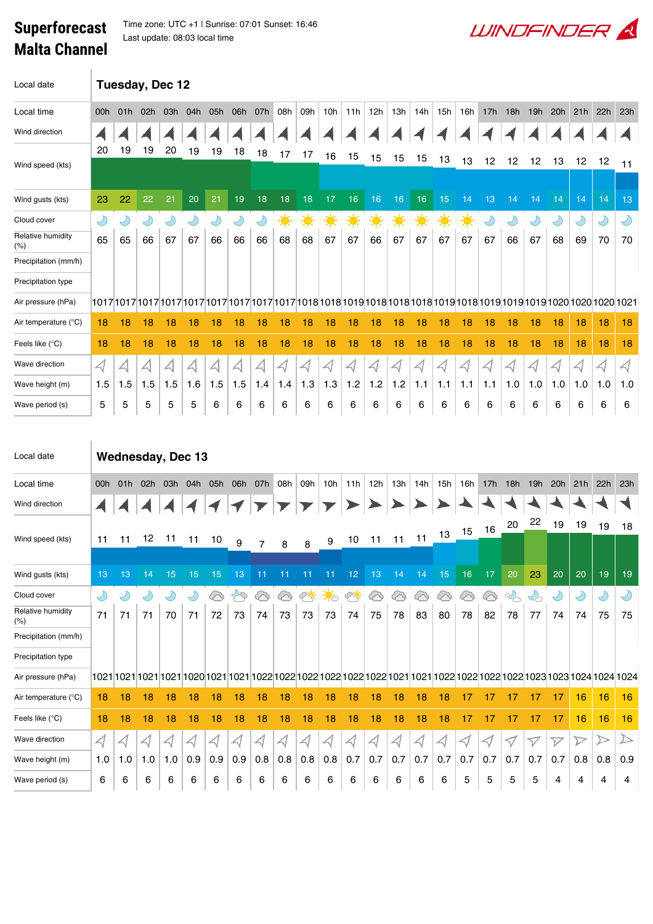## Superforecast Malta Channel

Time zone: UTC +1 | Sunrise: 07:01 Sunset: 16:46 Last update: 08:03 local time

| Local date               | Tuesday, Dec 12          |            |            |            |            |            |                                       |                                       |                            |           |                 |                 |                  |                 |         |                      |                 |                 |            |                                   |                 |           |                 |                      |
|--------------------------|--------------------------|------------|------------|------------|------------|------------|---------------------------------------|---------------------------------------|----------------------------|-----------|-----------------|-----------------|------------------|-----------------|---------|----------------------|-----------------|-----------------|------------|-----------------------------------|-----------------|-----------|-----------------|----------------------|
| Local time               | 00h                      | 01h        | 02h        | 03h        | 04h        | 05h        | 06h                                   | 07h                                   | 08h                        | 09h       | 10 <sub>h</sub> | 11h             | 12h              | 13h             | 14h     | 15h                  | 16h             | 17h             | 18h        | 19h                               | 20h             | 21h       | 22h             | 23h                  |
| Wind direction           |                          |            |            |            |            |            |                                       |                                       |                            |           |                 |                 |                  |                 |         |                      |                 |                 |            |                                   |                 |           |                 |                      |
| Wind speed (kts)         | 20                       | 19         | 19         | 20         | 19         | 19         | 18                                    | 18                                    | 17                         | 17        | 16              | 15              | 15               | 15              | 15      | 13                   | 13              | 12              | 12         | 12                                | 13              | 12        | 12              | 11                   |
| Wind gusts (kts)         | 23                       | 22         | 22         | 21         | 20         | 21         | 19                                    | 18                                    | 18                         | 18        | 17              | 16              | 16               | 16              | 16      | 15                   | 14              | 13              | 14         | 14                                | 14              | 14        | 14              | 13                   |
| Cloud cover              | Ÿ                        | $\bigcup$  | $\bigcirc$ | $\bigcirc$ | $\bigcup$  | $\bigcirc$ | Ÿ                                     | $\bigcup$                             | 美                          | ☀         | $\cdot \bullet$ | 美               | $\ddot{\bullet}$ | 美               | 美       | $\frac{1}{\sqrt{2}}$ | $\cdot \bullet$ | $\bigcirc$      | Y          | $\bigcirc$                        | Y               | $\bigcup$ | $\bigcirc$      | Y                    |
| Relative humidity<br>(%) | 65                       | 65         | 66         | 67         | 67         | 66         | 66                                    | 66                                    | 68                         | 68        | 67              | 67              | 66               | 67              | 67      | 67                   | 67              | 67              | 66         | 67                                | 68              | 69        | 70              | 70                   |
| Precipitation (mm/h)     |                          |            |            |            |            |            |                                       |                                       |                            |           |                 |                 |                  |                 |         |                      |                 |                 |            |                                   |                 |           |                 |                      |
| Precipitation type       |                          |            |            |            |            |            |                                       |                                       |                            |           |                 |                 |                  |                 |         |                      |                 |                 |            |                                   |                 |           |                 |                      |
| Air pressure (hPa)       |                          |            |            |            |            |            |                                       |                                       |                            |           |                 |                 |                  |                 |         |                      |                 |                 |            |                                   |                 |           |                 |                      |
| Air temperature (°C)     | 18                       | 18         | 18         | 18         | 18         | 18         | 18                                    | 18                                    | 18                         | 18        | 18              | 18              | 18               | 18              | 18      | 18                   | 18              | 18              | 18         | 18                                | 18              | 18        | 18              | 18                   |
| Feels like (°C)          | 18                       | 18         | 18         | 18         | 18         | 18         | 18                                    | 18                                    | 18                         | 18        | 18              | 18              | 18               | 18              | 18      | 18                   | 18              | 18              | 18         | 18                                | 18              | 18        | 18              | 18                   |
| Wave direction           | $\triangleleft$          | $\prec$    | $\prec$    | 싀          | A          | $\prec$    | $\triangle \hspace{-0.1cm}\downarrow$ | $\triangle \hspace{-0.1cm}\Downarrow$ | $\triangleleft$            | $\prec$ l | $\prec$ l       | $\triangleleft$ | 4                | $\triangleleft$ | $\prec$ | $\prec$              | 4               | $\prec$         | $\prec$    | $\triangleleft$                   | $\triangleleft$ |           | $\triangleleft$ | $\blacktriangleleft$ |
| Wave height (m)          | 1.5                      | 1.5        | 1.5        | 1.5        | 1.6        | 1.5        | 1.5                                   | 1.4                                   | 1.4                        | 1.3       | 1.3             | 1.2             | 1.2              | 1.2             | 1.1     | 1.1                  | 1.1             | 1.1             | 1.0        | 1.0                               | 1.0             | 1.0       | 1.0             | 1.0                  |
| Wave period (s)          | 5                        | 5          | 5          | 5          | 5          | 6          | 6                                     | 6                                     | 6                          | 6         | 6               | 6               | 6                | 6               | 6       | 6                    | 6               | 6               | 6          | 6                                 | 6               | 6         | 6               | 6                    |
| Local date               | <b>Wednesday, Dec 13</b> |            |            |            |            |            |                                       |                                       |                            |           |                 |                 |                  |                 |         |                      |                 |                 |            |                                   |                 |           |                 |                      |
| Local time               | 00h                      | 01h        | 02h        | 03h        | 04h        | 05h        | 06h                                   | 07h                                   | 08h                        | 09h       | 10h             | 11h             | 12h              | 13h             | 14h     | 15h                  | 16h             | 17 <sub>h</sub> | 18h        | 19h                               | 20h             | 21h       | 22h             | 23h                  |
| Wind direction           |                          |            |            |            |            |            |                                       |                                       |                            |           |                 |                 |                  |                 |         |                      |                 |                 |            |                                   |                 |           |                 |                      |
|                          |                          |            |            |            |            |            |                                       |                                       |                            |           |                 |                 |                  |                 |         | 13                   | 15              | 16              | 20         | 22                                | 19              | 19        | 19              | 18                   |
| Wind speed (kts)         | 11                       | 11         | 12         | 11         | 11         | 10         | 9                                     |                                       | 8                          | 8         | 9               | 10              | 11               | 11              | 11      |                      |                 |                 |            |                                   |                 |           |                 |                      |
| Wind gusts (kts)         | 13                       | 13         | 14         | 15         | 15         | 15         | 13                                    | 11                                    | 11                         | 11        | 11              | 12              | 13               | 14              | 14      | 15                   | 16              | 17              | 20         | 23                                | 20              | 20        | 19              | 19                   |
| Cloud cover              | Ÿ                        | $\bigcirc$ | $\bigcirc$ | $\bigcirc$ | $\bigcirc$ | ⊗          | $\mathfrak{S}$                        | ⊗                                     | ⊗                          | ╱         | $\frac{1}{2}$   | త               | 6                | ⊗               | ⊗       | ⊘                    | /               | ⊗               | $\sim$     | $\mathcal{L}_{\circlearrowright}$ | Y               | Y         | $\bigcirc$      | $\bigcirc$           |
| Relative humidity<br>(%) | 71                       | 71         | 71         | 70         | 71         | 72         | 73                                    | 74                                    | 73                         | 73        | 73              | 74              | 75               | 78              | 83      | 80                   | 78              | 82              | 78         | 77                                | 74              | 74        | 75              | 75                   |
| Precipitation (mm/h)     |                          |            |            |            |            |            |                                       |                                       |                            |           |                 |                 |                  |                 |         |                      |                 |                 |            |                                   |                 |           |                 |                      |
| Precipitation type       |                          |            |            |            |            |            |                                       |                                       |                            |           |                 |                 |                  |                 |         |                      |                 |                 |            |                                   |                 |           |                 |                      |
| Air pressure (hPa)       |                          |            |            |            |            |            |                                       |                                       |                            |           |                 |                 |                  |                 |         |                      |                 |                 |            |                                   |                 |           |                 |                      |
| Air temperature (°C)     |                          | $18$ 18    | 18         | 18         |            |            | 18 18 18 18                           |                                       | 18 18 18 18 18 18 18 18 18 |           |                 |                 |                  |                 |         |                      | $17$ 17         |                 | $\vert$ 17 | 17                                |                 |           |                 | $17$ 16 16 16        |

**WINDFINDER** 

| Air temperature (°C) | 18  | 18       | 18 | 18 | 18  | 18       | 18  | 18      | 18  | 18        | 18              | 18  | 18  | 18      | 18  | 18  |     |     |   |     |          | 16  | 16        | 16  |
|----------------------|-----|----------|----|----|-----|----------|-----|---------|-----|-----------|-----------------|-----|-----|---------|-----|-----|-----|-----|---|-----|----------|-----|-----------|-----|
| Feels like (°C)      | 18  | 18       | 18 | 18 | 18  | 18       | 18  | 18      | 18  | 18        | 18 <sup>1</sup> | 18  | 18  | 18      | 18  | 18  |     |     |   |     |          | 16  | 16        | 16  |
| Wave direction       | ∠   | offices. |    |    |     | offices. |     | allana. | ∠   | officers. |                 | ∽   | ∠   | illeen. | ∠   |     |     |     |   |     |          |     |           |     |
| Wave height (m)      | 1.0 |          |    | .0 | 0.9 | 0.9      | 0.9 | 0.8     | 0.8 | 0.8       | 0.8             | 0.7 | 0.7 | 0.7     | 0.7 | 0.7 | 0.7 | 0.7 |   | 0.7 | 0.7      | 0.8 | 0.8       | 0.9 |
| Wave period (s)      | 6   | 6        | 6  | 6  | 6   | 6        | 6   | 6       | 6   | 6         | 6               | 6   | 6   | 6       | 6   | 6   | ხ   | 5   | 5 | ১   | $\Delta$ | 4   | $\Lambda$ | 4   |